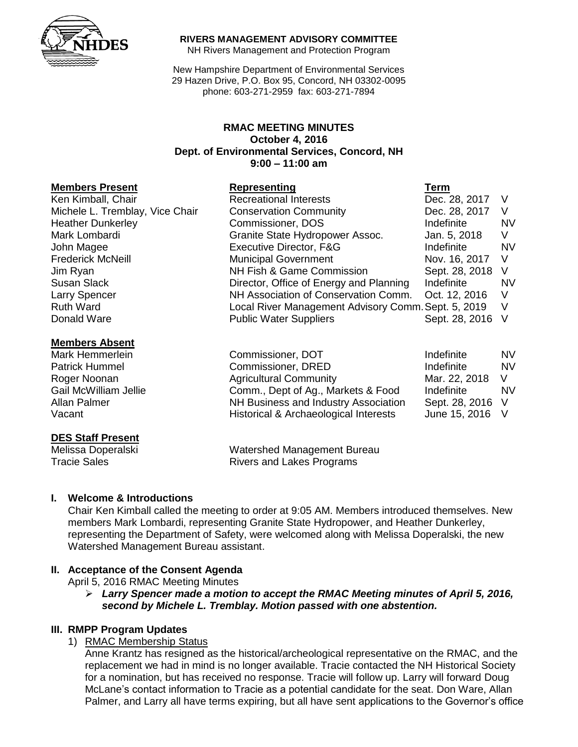

#### **RIVERS MANAGEMENT ADVISORY COMMITTEE**

NH Rivers Management and Protection Program

New Hampshire Department of Environmental Services 29 Hazen Drive, P.O. Box 95, Concord, NH 03302-0095 phone: 603-271-2959 fax: 603-271-7894

## **RMAC MEETING MINUTES October 4, 2016 Dept. of Environmental Services, Concord, NH 9:00 – 11:00 am**

### **Members Present Representing Term**

| Ken Kimball, Chair              |  |
|---------------------------------|--|
| Michele L. Tremblay, Vice Chair |  |
| <b>Heather Dunkerley</b>        |  |
| Mark Lombardi                   |  |
| John Magee                      |  |
| <b>Frederick McNeill</b>        |  |
| Jim Ryan                        |  |
| Susan Slack                     |  |
| Larry Spencer                   |  |
| <b>Ruth Ward</b>                |  |
| Donald Ware                     |  |

### **Members Absent**

## **DES Staff Present**

Melissa Doperalski Watershed Management Bureau Tracie Sales **Rivers** and Lakes Programs

#### **I. Welcome & Introductions**

Chair Ken Kimball called the meeting to order at 9:05 AM. Members introduced themselves. New members Mark Lombardi, representing Granite State Hydropower, and Heather Dunkerley, representing the Department of Safety, were welcomed along with Melissa Doperalski, the new Watershed Management Bureau assistant.

## **II. Acceptance of the Consent Agenda**

April 5, 2016 RMAC Meeting Minutes

 *Larry Spencer made a motion to accept the RMAC Meeting minutes of April 5, 2016, second by Michele L. Tremblay. Motion passed with one abstention.* 

## **III. RMPP Program Updates**

1) RMAC Membership Status

Anne Krantz has resigned as the historical/archeological representative on the RMAC, and the replacement we had in mind is no longer available. Tracie contacted the NH Historical Society for a nomination, but has received no response. Tracie will follow up. Larry will forward Doug McLane's contact information to Tracie as a potential candidate for the seat. Don Ware, Allan Palmer, and Larry all have terms expiring, but all have sent applications to the Governor's office

| Ken Kimball, Chair              | <b>Recreational Interests</b>                       | Dec. 28, 2017    |           |
|---------------------------------|-----------------------------------------------------|------------------|-----------|
| Michele L. Tremblay, Vice Chair | <b>Conservation Community</b>                       | Dec. 28, 2017    | V         |
| <b>Heather Dunkerley</b>        | Commissioner, DOS                                   | Indefinite       | NV        |
| Mark Lombardi                   | Granite State Hydropower Assoc.                     | Jan. 5, 2018     | V         |
| John Magee                      | Executive Director, F&G                             | Indefinite       | <b>NV</b> |
| <b>Frederick McNeill</b>        | <b>Municipal Government</b>                         | Nov. 16, 2017    | - V       |
| Jim Ryan                        | NH Fish & Game Commission                           | Sept. 28, 2018 V |           |
| Susan Slack                     | Director, Office of Energy and Planning             | Indefinite       | NV        |
| Larry Spencer                   | NH Association of Conservation Comm.                | Oct. 12, 2016    | V         |
| <b>Ruth Ward</b>                | Local River Management Advisory Comm. Sept. 5, 2019 |                  | V         |
| Donald Ware                     | <b>Public Water Suppliers</b>                       | Sept. 28, 2016 V |           |
|                                 |                                                     |                  |           |

| Mark Hemmerlein       | Commissioner, DOT                     | Indefinite       | <b>NV</b> |
|-----------------------|---------------------------------------|------------------|-----------|
| <b>Patrick Hummel</b> | Commissioner, DRED                    | Indefinite       | <b>NV</b> |
| Roger Noonan          | <b>Agricultural Community</b>         | Mar. 22, 2018    | V.        |
| Gail McWilliam Jellie | Comm., Dept of Ag., Markets & Food    | Indefinite       | <b>NV</b> |
| Allan Palmer          | NH Business and Industry Association  | Sept. 28, 2016 V |           |
| Vacant                | Historical & Archaeological Interests | June 15, 2016 V  |           |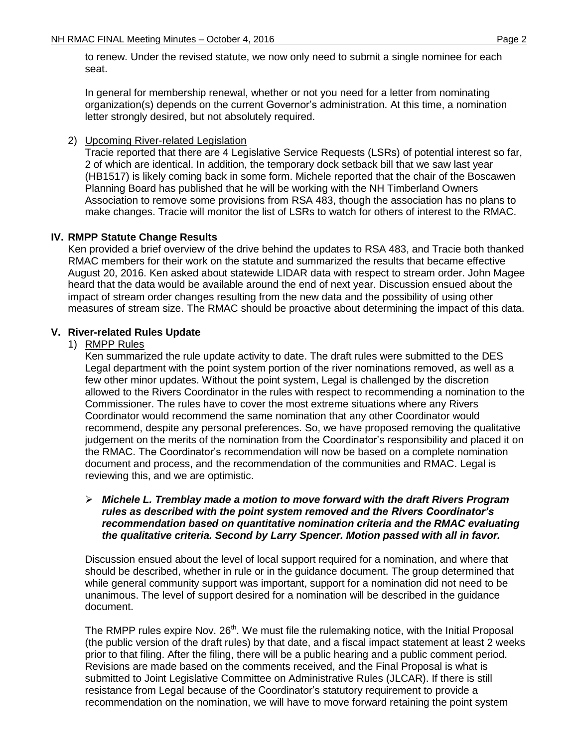to renew. Under the revised statute, we now only need to submit a single nominee for each seat.

In general for membership renewal, whether or not you need for a letter from nominating organization(s) depends on the current Governor's administration. At this time, a nomination letter strongly desired, but not absolutely required.

2) Upcoming River-related Legislation

Tracie reported that there are 4 Legislative Service Requests (LSRs) of potential interest so far, 2 of which are identical. In addition, the temporary dock setback bill that we saw last year (HB1517) is likely coming back in some form. Michele reported that the chair of the Boscawen Planning Board has published that he will be working with the NH Timberland Owners Association to remove some provisions from RSA 483, though the association has no plans to make changes. Tracie will monitor the list of LSRs to watch for others of interest to the RMAC.

## **IV. RMPP Statute Change Results**

Ken provided a brief overview of the drive behind the updates to RSA 483, and Tracie both thanked RMAC members for their work on the statute and summarized the results that became effective August 20, 2016. Ken asked about statewide LIDAR data with respect to stream order. John Magee heard that the data would be available around the end of next year. Discussion ensued about the impact of stream order changes resulting from the new data and the possibility of using other measures of stream size. The RMAC should be proactive about determining the impact of this data.

## **V. River-related Rules Update**

## 1) RMPP Rules

Ken summarized the rule update activity to date. The draft rules were submitted to the DES Legal department with the point system portion of the river nominations removed, as well as a few other minor updates. Without the point system, Legal is challenged by the discretion allowed to the Rivers Coordinator in the rules with respect to recommending a nomination to the Commissioner. The rules have to cover the most extreme situations where any Rivers Coordinator would recommend the same nomination that any other Coordinator would recommend, despite any personal preferences. So, we have proposed removing the qualitative judgement on the merits of the nomination from the Coordinator's responsibility and placed it on the RMAC. The Coordinator's recommendation will now be based on a complete nomination document and process, and the recommendation of the communities and RMAC. Legal is reviewing this, and we are optimistic.

## *Michele L. Tremblay made a motion to move forward with the draft Rivers Program rules as described with the point system removed and the Rivers Coordinator's recommendation based on quantitative nomination criteria and the RMAC evaluating the qualitative criteria. Second by Larry Spencer. Motion passed with all in favor.*

Discussion ensued about the level of local support required for a nomination, and where that should be described, whether in rule or in the guidance document. The group determined that while general community support was important, support for a nomination did not need to be unanimous. The level of support desired for a nomination will be described in the guidance document.

The RMPP rules expire Nov. 26<sup>th</sup>. We must file the rulemaking notice, with the Initial Proposal (the public version of the draft rules) by that date, and a fiscal impact statement at least 2 weeks prior to that filing. After the filing, there will be a public hearing and a public comment period. Revisions are made based on the comments received, and the Final Proposal is what is submitted to Joint Legislative Committee on Administrative Rules (JLCAR). If there is still resistance from Legal because of the Coordinator's statutory requirement to provide a recommendation on the nomination, we will have to move forward retaining the point system